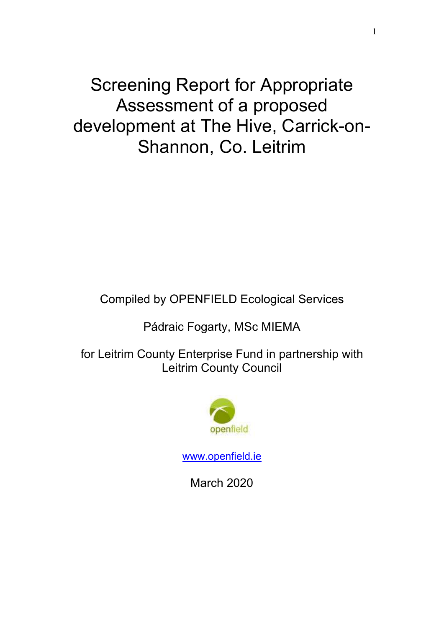Screening Report for Appropriate Assessment of a proposed development at The Hive, Carrick-on-Shannon, Co. Leitrim

Compiled by OPENFIELD Ecological Services

Pádraic Fogarty, MSc MIEMA

for Leitrim County Enterprise Fund in partnership with Leitrim County Council



www.openfield.ie

March 2020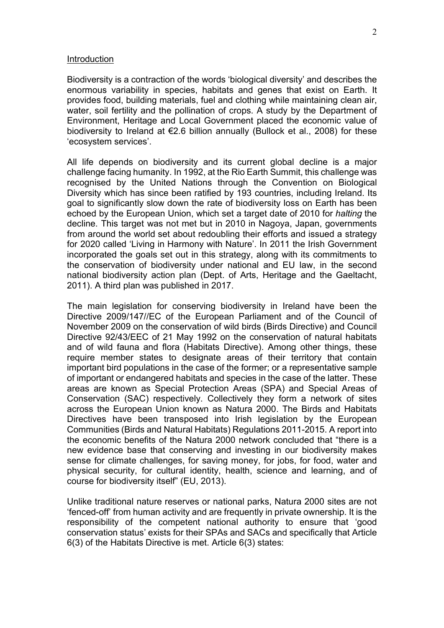#### **Introduction**

Biodiversity is a contraction of the words 'biological diversity' and describes the enormous variability in species, habitats and genes that exist on Earth. It provides food, building materials, fuel and clothing while maintaining clean air, water, soil fertility and the pollination of crops. A study by the Department of Environment, Heritage and Local Government placed the economic value of biodiversity to Ireland at €2.6 billion annually (Bullock et al., 2008) for these 'ecosystem services'.

All life depends on biodiversity and its current global decline is a major challenge facing humanity. In 1992, at the Rio Earth Summit, this challenge was recognised by the United Nations through the Convention on Biological Diversity which has since been ratified by 193 countries, including Ireland. Its goal to significantly slow down the rate of biodiversity loss on Earth has been echoed by the European Union, which set a target date of 2010 for halting the decline. This target was not met but in 2010 in Nagoya, Japan, governments from around the world set about redoubling their efforts and issued a strategy for 2020 called 'Living in Harmony with Nature'. In 2011 the Irish Government incorporated the goals set out in this strategy, along with its commitments to the conservation of biodiversity under national and EU law, in the second national biodiversity action plan (Dept. of Arts, Heritage and the Gaeltacht, 2011). A third plan was published in 2017.

The main legislation for conserving biodiversity in Ireland have been the Directive 2009/147//EC of the European Parliament and of the Council of November 2009 on the conservation of wild birds (Birds Directive) and Council Directive 92/43/EEC of 21 May 1992 on the conservation of natural habitats and of wild fauna and flora (Habitats Directive). Among other things, these require member states to designate areas of their territory that contain important bird populations in the case of the former; or a representative sample of important or endangered habitats and species in the case of the latter. These areas are known as Special Protection Areas (SPA) and Special Areas of Conservation (SAC) respectively. Collectively they form a network of sites across the European Union known as Natura 2000. The Birds and Habitats Directives have been transposed into Irish legislation by the European Communities (Birds and Natural Habitats) Regulations 2011-2015. A report into the economic benefits of the Natura 2000 network concluded that "there is a new evidence base that conserving and investing in our biodiversity makes sense for climate challenges, for saving money, for jobs, for food, water and physical security, for cultural identity, health, science and learning, and of course for biodiversity itself" (EU, 2013).

Unlike traditional nature reserves or national parks, Natura 2000 sites are not 'fenced-off' from human activity and are frequently in private ownership. It is the responsibility of the competent national authority to ensure that 'good conservation status' exists for their SPAs and SACs and specifically that Article 6(3) of the Habitats Directive is met. Article 6(3) states: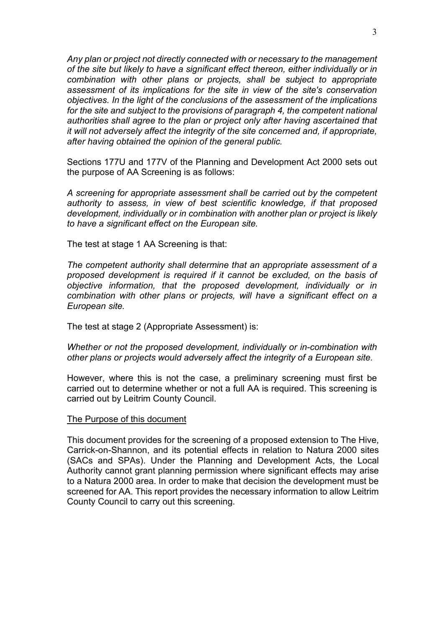Any plan or project not directly connected with or necessary to the management of the site but likely to have a significant effect thereon, either individually or in combination with other plans or projects, shall be subject to appropriate assessment of its implications for the site in view of the site's conservation objectives. In the light of the conclusions of the assessment of the implications for the site and subject to the provisions of paragraph 4, the competent national authorities shall agree to the plan or project only after having ascertained that it will not adversely affect the integrity of the site concerned and, if appropriate, after having obtained the opinion of the general public.

Sections 177U and 177V of the Planning and Development Act 2000 sets out the purpose of AA Screening is as follows:

A screening for appropriate assessment shall be carried out by the competent authority to assess, in view of best scientific knowledge, if that proposed development, individually or in combination with another plan or project is likely to have a significant effect on the European site.

The test at stage 1 AA Screening is that:

The competent authority shall determine that an appropriate assessment of a proposed development is required if it cannot be excluded, on the basis of objective information, that the proposed development, individually or in combination with other plans or projects, will have a significant effect on a European site.

The test at stage 2 (Appropriate Assessment) is:

Whether or not the proposed development, individually or in-combination with other plans or projects would adversely affect the integrity of a European site.

However, where this is not the case, a preliminary screening must first be carried out to determine whether or not a full AA is required. This screening is carried out by Leitrim County Council.

### The Purpose of this document

This document provides for the screening of a proposed extension to The Hive, Carrick-on-Shannon, and its potential effects in relation to Natura 2000 sites (SACs and SPAs). Under the Planning and Development Acts, the Local Authority cannot grant planning permission where significant effects may arise to a Natura 2000 area. In order to make that decision the development must be screened for AA. This report provides the necessary information to allow Leitrim County Council to carry out this screening.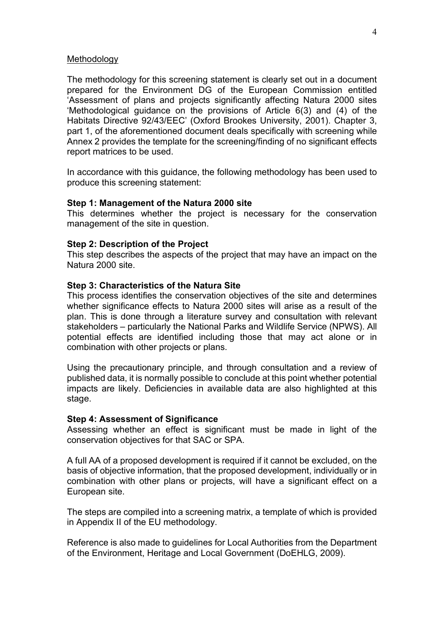### Methodology

The methodology for this screening statement is clearly set out in a document prepared for the Environment DG of the European Commission entitled 'Assessment of plans and projects significantly affecting Natura 2000 sites 'Methodological guidance on the provisions of Article 6(3) and (4) of the Habitats Directive 92/43/EEC' (Oxford Brookes University, 2001). Chapter 3, part 1, of the aforementioned document deals specifically with screening while Annex 2 provides the template for the screening/finding of no significant effects report matrices to be used.

In accordance with this guidance, the following methodology has been used to produce this screening statement:

### Step 1: Management of the Natura 2000 site

This determines whether the project is necessary for the conservation management of the site in question.

### Step 2: Description of the Project

This step describes the aspects of the project that may have an impact on the Natura 2000 site.

## Step 3: Characteristics of the Natura Site

This process identifies the conservation objectives of the site and determines whether significance effects to Natura 2000 sites will arise as a result of the plan. This is done through a literature survey and consultation with relevant stakeholders – particularly the National Parks and Wildlife Service (NPWS). All potential effects are identified including those that may act alone or in combination with other projects or plans.

Using the precautionary principle, and through consultation and a review of published data, it is normally possible to conclude at this point whether potential impacts are likely. Deficiencies in available data are also highlighted at this stage.

### Step 4: Assessment of Significance

Assessing whether an effect is significant must be made in light of the conservation objectives for that SAC or SPA.

A full AA of a proposed development is required if it cannot be excluded, on the basis of objective information, that the proposed development, individually or in combination with other plans or projects, will have a significant effect on a European site.

The steps are compiled into a screening matrix, a template of which is provided in Appendix II of the EU methodology.

Reference is also made to guidelines for Local Authorities from the Department of the Environment, Heritage and Local Government (DoEHLG, 2009).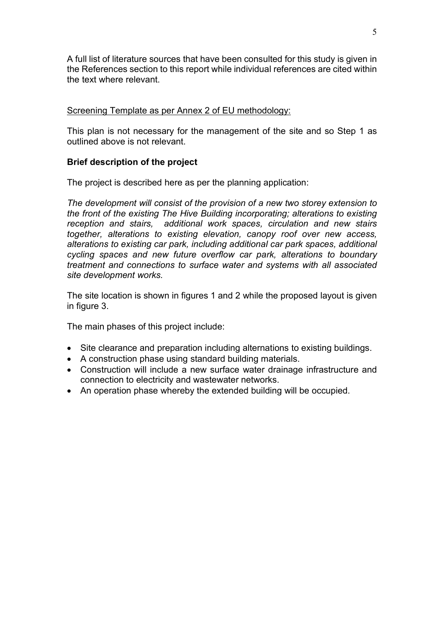A full list of literature sources that have been consulted for this study is given in the References section to this report while individual references are cited within the text where relevant.

# Screening Template as per Annex 2 of EU methodology:

This plan is not necessary for the management of the site and so Step 1 as outlined above is not relevant.

# Brief description of the project

The project is described here as per the planning application:

The development will consist of the provision of a new two storey extension to the front of the existing The Hive Building incorporating; alterations to existing reception and stairs, additional work spaces, circulation and new stairs together, alterations to existing elevation, canopy roof over new access, alterations to existing car park, including additional car park spaces, additional cycling spaces and new future overflow car park, alterations to boundary treatment and connections to surface water and systems with all associated site development works.

The site location is shown in figures 1 and 2 while the proposed layout is given in figure 3.

The main phases of this project include:

- Site clearance and preparation including alternations to existing buildings.
- A construction phase using standard building materials.
- Construction will include a new surface water drainage infrastructure and connection to electricity and wastewater networks.
- An operation phase whereby the extended building will be occupied.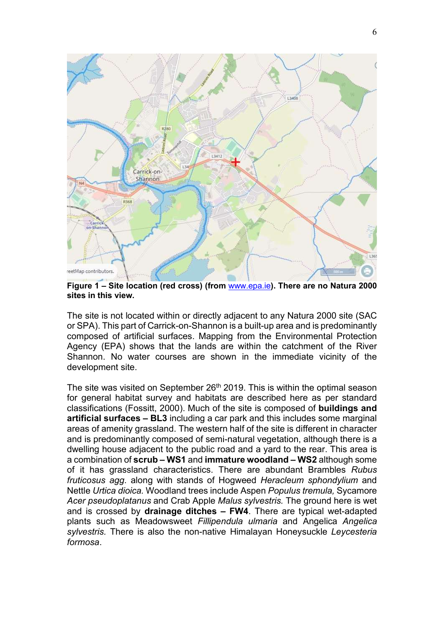

Figure 1 – Site location (red cross) (from www.epa.ie). There are no Natura 2000 sites in this view.

The site is not located within or directly adjacent to any Natura 2000 site (SAC or SPA). This part of Carrick-on-Shannon is a built-up area and is predominantly composed of artificial surfaces. Mapping from the Environmental Protection Agency (EPA) shows that the lands are within the catchment of the River Shannon. No water courses are shown in the immediate vicinity of the development site.

The site was visited on September  $26<sup>th</sup>$  2019. This is within the optimal season for general habitat survey and habitats are described here as per standard classifications (Fossitt, 2000). Much of the site is composed of buildings and artificial surfaces – BL3 including a car park and this includes some marginal areas of amenity grassland. The western half of the site is different in character and is predominantly composed of semi-natural vegetation, although there is a dwelling house adjacent to the public road and a yard to the rear. This area is a combination of scrub – WS1 and immature woodland – WS2 although some of it has grassland characteristics. There are abundant Brambles Rubus fruticosus agg. along with stands of Hogweed Heracleum sphondylium and Nettle Urtica dioica. Woodland trees include Aspen Populus tremula, Sycamore Acer pseudoplatanus and Crab Apple Malus sylvestris. The ground here is wet and is crossed by drainage ditches – FW4. There are typical wet-adapted plants such as Meadowsweet Fillipendula ulmaria and Angelica Angelica sylvestris. There is also the non-native Himalayan Honeysuckle Leycesteria formosa.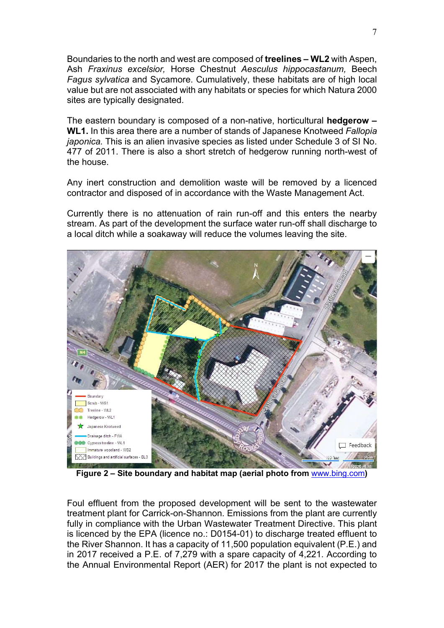Boundaries to the north and west are composed of treelines – WL2 with Aspen, Ash Fraxinus excelsior, Horse Chestnut Aesculus hippocastanum, Beech Fagus sylvatica and Sycamore. Cumulatively, these habitats are of high local value but are not associated with any habitats or species for which Natura 2000 sites are typically designated.

The eastern boundary is composed of a non-native, horticultural hedgerow – WL1. In this area there are a number of stands of Japanese Knotweed Fallopia japonica. This is an alien invasive species as listed under Schedule 3 of SI No. 477 of 2011. There is also a short stretch of hedgerow running north-west of the house.

Any inert construction and demolition waste will be removed by a licenced contractor and disposed of in accordance with the Waste Management Act.

Currently there is no attenuation of rain run-off and this enters the nearby stream. As part of the development the surface water run-off shall discharge to a local ditch while a soakaway will reduce the volumes leaving the site.



Foul effluent from the proposed development will be sent to the wastewater treatment plant for Carrick-on-Shannon. Emissions from the plant are currently fully in compliance with the Urban Wastewater Treatment Directive. This plant is licenced by the EPA (licence no.: D0154-01) to discharge treated effluent to the River Shannon. It has a capacity of 11,500 population equivalent (P.E.) and in 2017 received a P.E. of 7,279 with a spare capacity of 4,221. According to the Annual Environmental Report (AER) for 2017 the plant is not expected to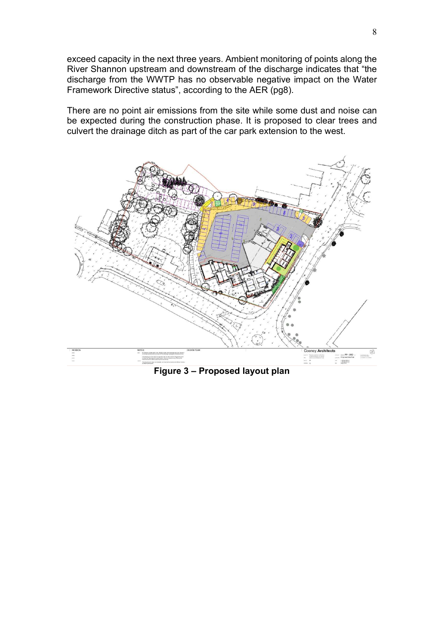exceed capacity in the next three years. Ambient monitoring of points along the River Shannon upstream and downstream of the discharge indicates that "the discharge from the WWTP has no observable negative impact on the Water Framework Directive status", according to the AER (pg8).

There are no point air emissions from the site while some dust and noise can be expected during the construction phase. It is proposed to clear trees and culvert the drainage ditch as part of the car park extension to the west.



Figure 3 – Proposed layout plan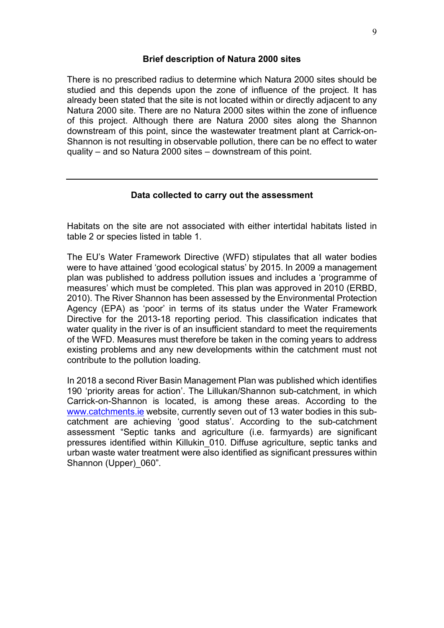## Brief description of Natura 2000 sites

There is no prescribed radius to determine which Natura 2000 sites should be studied and this depends upon the zone of influence of the project. It has already been stated that the site is not located within or directly adjacent to any Natura 2000 site. There are no Natura 2000 sites within the zone of influence of this project. Although there are Natura 2000 sites along the Shannon downstream of this point, since the wastewater treatment plant at Carrick-on-Shannon is not resulting in observable pollution, there can be no effect to water quality – and so Natura 2000 sites – downstream of this point.

### Data collected to carry out the assessment

Habitats on the site are not associated with either intertidal habitats listed in table 2 or species listed in table 1.

The EU's Water Framework Directive (WFD) stipulates that all water bodies were to have attained 'good ecological status' by 2015. In 2009 a management plan was published to address pollution issues and includes a 'programme of measures' which must be completed. This plan was approved in 2010 (ERBD, 2010). The River Shannon has been assessed by the Environmental Protection Agency (EPA) as 'poor' in terms of its status under the Water Framework Directive for the 2013-18 reporting period. This classification indicates that water quality in the river is of an insufficient standard to meet the requirements of the WFD. Measures must therefore be taken in the coming years to address existing problems and any new developments within the catchment must not contribute to the pollution loading.

In 2018 a second River Basin Management Plan was published which identifies 190 'priority areas for action'. The Lillukan/Shannon sub-catchment, in which Carrick-on-Shannon is located, is among these areas. According to the www.catchments.ie website, currently seven out of 13 water bodies in this subcatchment are achieving 'good status'. According to the sub-catchment assessment "Septic tanks and agriculture (i.e. farmyards) are significant pressures identified within Killukin\_010. Diffuse agriculture, septic tanks and urban waste water treatment were also identified as significant pressures within Shannon (Upper) 060".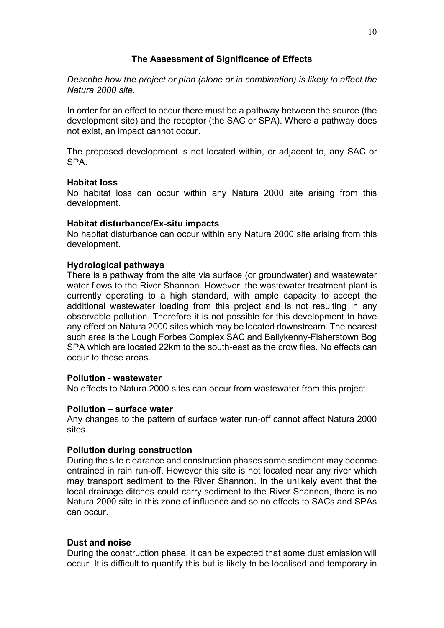# The Assessment of Significance of Effects

Describe how the project or plan (alone or in combination) is likely to affect the Natura 2000 site.

In order for an effect to occur there must be a pathway between the source (the development site) and the receptor (the SAC or SPA). Where a pathway does not exist, an impact cannot occur.

The proposed development is not located within, or adjacent to, any SAC or SPA.

# Habitat loss

No habitat loss can occur within any Natura 2000 site arising from this development.

# Habitat disturbance/Ex-situ impacts

No habitat disturbance can occur within any Natura 2000 site arising from this development.

# Hydrological pathways

There is a pathway from the site via surface (or groundwater) and wastewater water flows to the River Shannon. However, the wastewater treatment plant is currently operating to a high standard, with ample capacity to accept the additional wastewater loading from this project and is not resulting in any observable pollution. Therefore it is not possible for this development to have any effect on Natura 2000 sites which may be located downstream. The nearest such area is the Lough Forbes Complex SAC and Ballykenny-Fisherstown Bog SPA which are located 22km to the south-east as the crow flies. No effects can occur to these areas.

# Pollution - wastewater

No effects to Natura 2000 sites can occur from wastewater from this project.

# Pollution – surface water

Any changes to the pattern of surface water run-off cannot affect Natura 2000 sites.

# Pollution during construction

During the site clearance and construction phases some sediment may become entrained in rain run-off. However this site is not located near any river which may transport sediment to the River Shannon. In the unlikely event that the local drainage ditches could carry sediment to the River Shannon, there is no Natura 2000 site in this zone of influence and so no effects to SACs and SPAs can occur.

# Dust and noise

During the construction phase, it can be expected that some dust emission will occur. It is difficult to quantify this but is likely to be localised and temporary in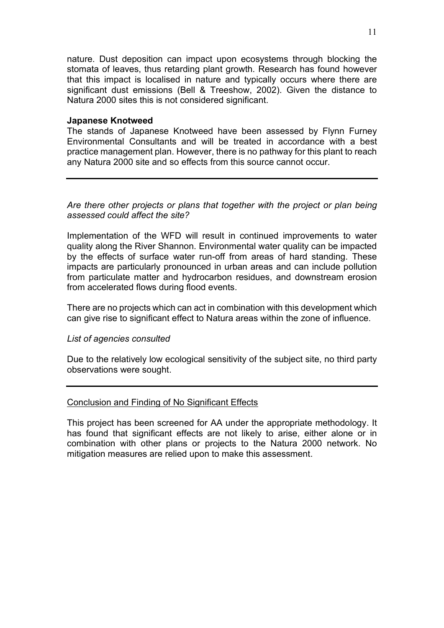nature. Dust deposition can impact upon ecosystems through blocking the stomata of leaves, thus retarding plant growth. Research has found however that this impact is localised in nature and typically occurs where there are significant dust emissions (Bell & Treeshow, 2002). Given the distance to Natura 2000 sites this is not considered significant.

## Japanese Knotweed

The stands of Japanese Knotweed have been assessed by Flynn Furney Environmental Consultants and will be treated in accordance with a best practice management plan. However, there is no pathway for this plant to reach any Natura 2000 site and so effects from this source cannot occur.

Are there other projects or plans that together with the project or plan being assessed could affect the site?

Implementation of the WFD will result in continued improvements to water quality along the River Shannon. Environmental water quality can be impacted by the effects of surface water run-off from areas of hard standing. These impacts are particularly pronounced in urban areas and can include pollution from particulate matter and hydrocarbon residues, and downstream erosion from accelerated flows during flood events.

There are no projects which can act in combination with this development which can give rise to significant effect to Natura areas within the zone of influence.

# List of agencies consulted

Due to the relatively low ecological sensitivity of the subject site, no third party observations were sought.

# Conclusion and Finding of No Significant Effects

This project has been screened for AA under the appropriate methodology. It has found that significant effects are not likely to arise, either alone or in combination with other plans or projects to the Natura 2000 network. No mitigation measures are relied upon to make this assessment.